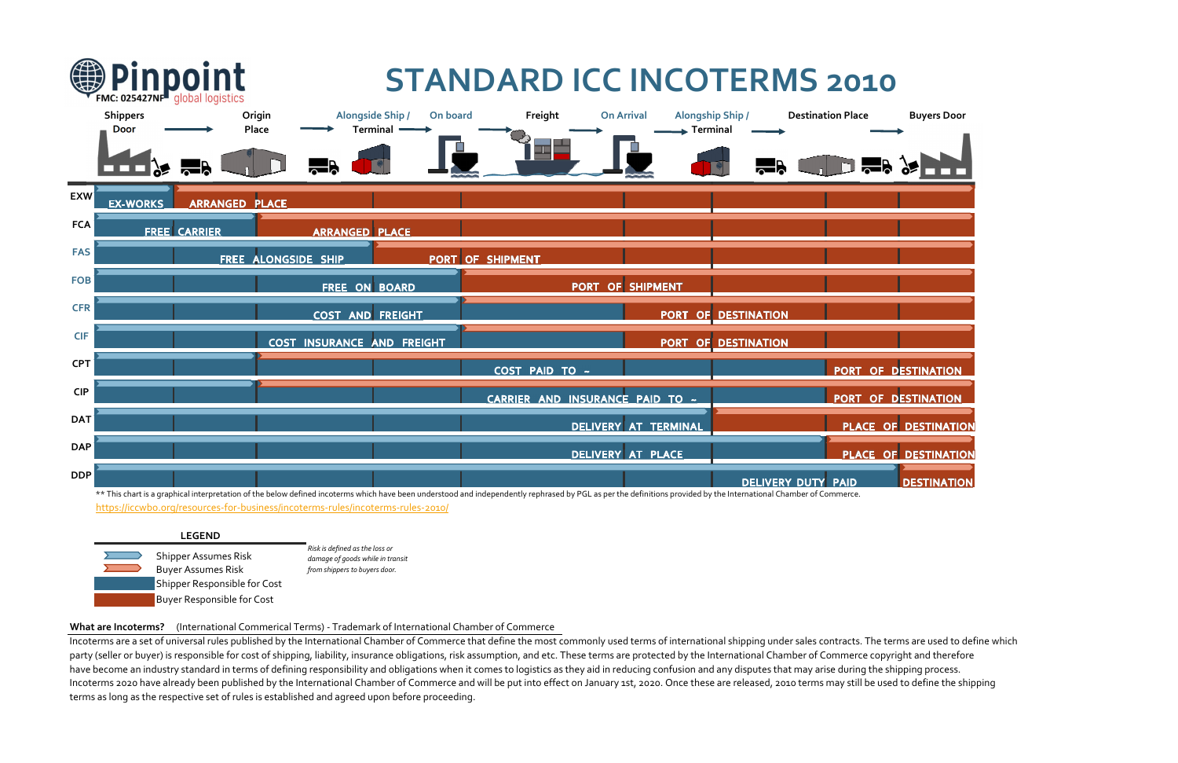

# **What are Incoterms?** (International Commerical Terms) ‐ Trademark of International Chamber of Commerce

Incoterms are a set of universal rules published by the International Chamber of Commerce that define the most commonly used terms of international shipping under sales contracts. The terms are used to define which party (seller or buyer) is responsible for cost of shipping, liability, insurance obligations, risk assumption, and etc. These terms are protected by the International Chamber of Commerce copyright and therefore have become an industry standard in terms of defining responsibility and obligations when it comes to logistics as they aid in reducing confusion and any disputes that may arise during the shipping process. Incoterms 2020 have already been published by the International Chamber of Commerce and will be put into effect on January 1st, 2020. Once these are released, 2010 terms may still be used to define the shipping terms as long as the respective set of rules is established and agreed upon before proceeding.

|            | Pinpoint<br>FMC: 025427NF <sup>tl</sup> global logistics |                       |                                   | <b>STANDARD ICC INCOTERMS 2010</b>              |                                                                                                                                                                                                                    |                                                     |                                          |                                 |
|------------|----------------------------------------------------------|-----------------------|-----------------------------------|-------------------------------------------------|--------------------------------------------------------------------------------------------------------------------------------------------------------------------------------------------------------------------|-----------------------------------------------------|------------------------------------------|---------------------------------|
|            | <b>Shippers</b><br><b>Door</b>                           | <b>Rep</b>            | Origin<br>Place                   | <b>Alongside Ship /</b><br>On board<br>Terminal | Freight<br>--                                                                                                                                                                                                      | <b>On Arrival</b><br>$\blacktriangleright$ Terminal | <b>Alongship Ship /</b><br><b>Report</b> | <b>Destination Place</b><br>5 R |
| <b>EXW</b> | <b>EX-WORKS</b>                                          | <b>ARRANGED PLACE</b> |                                   |                                                 |                                                                                                                                                                                                                    |                                                     |                                          |                                 |
| <b>FCA</b> |                                                          | <b>FREE</b> CARRIER   | <b>ARRANGED PLACE</b>             |                                                 |                                                                                                                                                                                                                    |                                                     |                                          |                                 |
| <b>FAS</b> |                                                          |                       | FREE ALONGSIDE SHIP               |                                                 | <b>PORT OF SHIPMENT</b>                                                                                                                                                                                            |                                                     |                                          |                                 |
| <b>FOB</b> |                                                          |                       | FREE ON BOARD                     |                                                 |                                                                                                                                                                                                                    | PORT OF SHIPMENT                                    |                                          |                                 |
| <b>CFR</b> |                                                          |                       | <b>COST AND FREIGHT</b>           |                                                 |                                                                                                                                                                                                                    |                                                     | PORT OF DESTINATION                      |                                 |
| <b>CIF</b> |                                                          |                       | <b>COST INSURANCE AND FREIGHT</b> |                                                 |                                                                                                                                                                                                                    |                                                     | PORT OF DESTINATION                      |                                 |
| <b>CPT</b> |                                                          |                       |                                   |                                                 | COST PAID TO ~                                                                                                                                                                                                     |                                                     |                                          | PORT OF I                       |
| <b>CIP</b> |                                                          |                       |                                   |                                                 | CARRIER AND INSURANCE PAID TO ~                                                                                                                                                                                    |                                                     |                                          | PORT OF I                       |
| <b>DAT</b> |                                                          |                       |                                   |                                                 |                                                                                                                                                                                                                    | DELIVERY AT TERMINAL                                |                                          | <b>PLACE OF</b>                 |
| <b>DAP</b> |                                                          |                       |                                   |                                                 |                                                                                                                                                                                                                    | DELIVERY AT PLACE                                   |                                          | <b>PLACE OF</b>                 |
| <b>DDP</b> |                                                          |                       |                                   |                                                 |                                                                                                                                                                                                                    |                                                     | <b>DELIVERY DUTY PAID</b>                |                                 |
|            |                                                          |                       |                                   |                                                 | ** This chart is a graphical interpretation of the below defined incoterms which have been understood and independently rephrased by PGL as per the definitions provided by the International Chamber of Commerce. |                                                     |                                          |                                 |



 $\sqrt{2}$ 

**Service** 



- 
- 
-